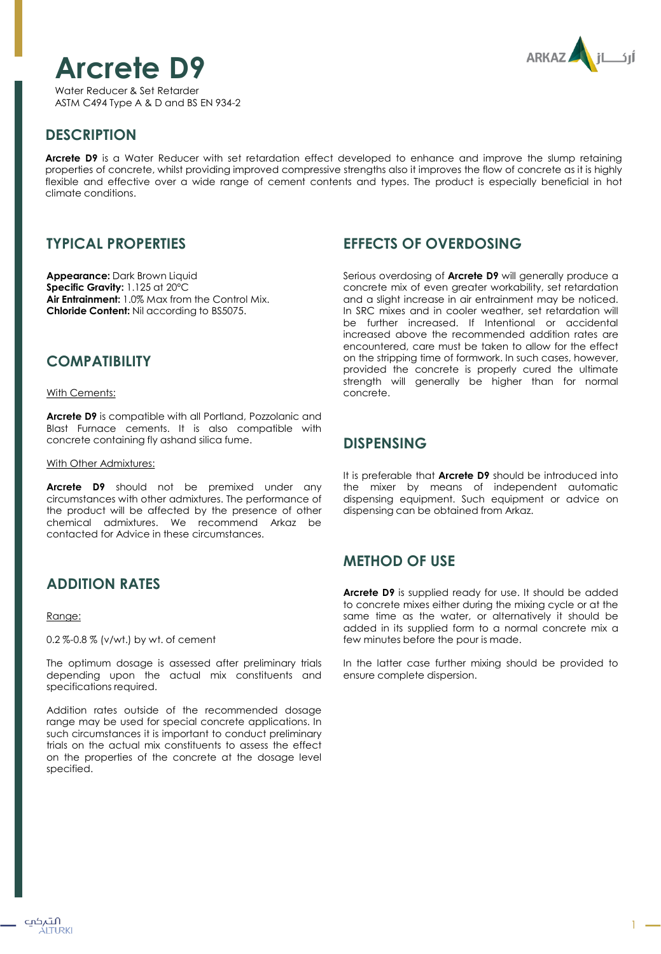# **Arcrete D9**

Water Reducer & Set Retarder ASTM C494 Type A & D and BS EN 934-2



# **DESCRIPTION**

**Arcrete D9** is a Water Reducer with set retardation effect developed to enhance and improve the slump retaining properties of concrete, whilst providing improved compressive strengths also it improves the flow of concrete as it is highly flexible and effective over a wide range of cement contents and types. The product is especially beneficial in hot climate conditions.

# **TYPICAL PROPERTIES**

**Appearance:** Dark Brown Liquid **Specific Gravity:** 1.125 at 20ºC **Air Entrainment:** 1.0% Max from the Control Mix. **Chloride Content:** Nil according to BS5075.

## **COMPATIBILITY**

With Cements:

**Arcrete D9** is compatible with all Portland, Pozzolanic and Blast Furnace cements. It is also compatible with concrete containing fly ashand silica fume.

### With Other Admixtures:

**Arcrete D9** should not be premixed under any circumstances with other admixtures. The performance of the product will be affected by the presence of other chemical admixtures. We recommend Arkaz be contacted for Advice in these circumstances.

# **ADDITION RATES**

### Range:

0.2 %-0.8 % (v/wt.) by wt. of cement

The optimum dosage is assessed after preliminary trials depending upon the actual mix constituents and specifications required.

Addition rates outside of the recommended dosage range may be used for special concrete applications. In such circumstances it is important to conduct preliminary trials on the actual mix constituents to assess the effect on the properties of the concrete at the dosage level specified.

# **EFFECTS OF OVERDOSING**

Serious overdosing of **Arcrete D9** will generally produce a concrete mix of even greater workability, set retardation and a slight increase in air entrainment may be noticed. In SRC mixes and in cooler weather, set retardation will be further increased. If Intentional or accidental increased above the recommended addition rates are encountered, care must be taken to allow for the effect on the stripping time of formwork. In such cases, however, provided the concrete is properly cured the ultimate strength will generally be higher than for normal concrete.

## **DISPENSING**

It is preferable that **Arcrete D9** should be introduced into the mixer by means of independent automatic dispensing equipment. Such equipment or advice on dispensing can be obtained from Arkaz.

# **METHOD OF USE**

**Arcrete D9** is supplied ready for use. It should be added to concrete mixes either during the mixing cycle or at the same time as the water, or alternatively it should be added in its supplied form to a normal concrete mix a few minutes before the pour is made.

In the latter case further mixing should be provided to ensure complete dispersion.